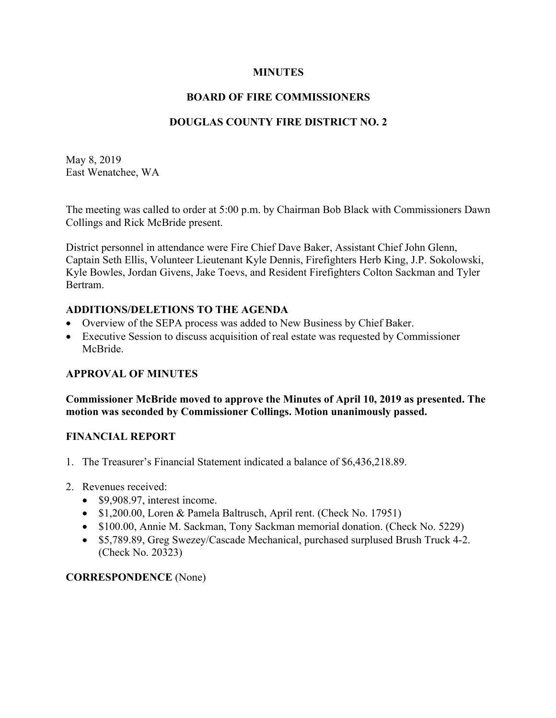#### **MINUTES**

### **BOARD OF FIRE COMMISSIONERS**

## **DOUGLAS COUNTY FIRE DISTRICT NO. 2**

May 8, 2019 East Wenatchee, WA

The meeting was called to order at 5:00 p.m. by Chairman Bob Black with Commissioners Dawn Collings and Rick McBride present.

District personnel in attendance were Fire Chief Dave Baker, Assistant Chief John Glenn, Captain Seth Ellis, Volunteer Lieutenant Kyle Dennis, Firefighters Herb King, J.P. Sokolowski, Kyle Bowles, Jordan Givens, Jake Toevs, and Resident Firefighters Colton Sackman and Tyler Bertram.

#### **ADDITIONS/DELETIONS TO THE AGENDA**

- Overview of the SEPA process was added to New Business by Chief Baker.
- Executive Session to discuss acquisition of real estate was requested by Commissioner McBride.

#### **APPROVAL OF MINUTES**

**Commissioner McBride moved to approve the Minutes of April 10, 2019 as presented. The motion was seconded by Commissioner Collings. Motion unanimously passed.**

#### **FINANCIAL REPORT**

- 1. The Treasurer's Financial Statement indicated a balance of \$6,436,218.89.
- 2. Revenues received:
	- \$9,908.97, interest income.
	- \$1,200.00, Loren & Pamela Baltrusch, April rent. (Check No. 17951)
	- \$100.00, Annie M. Sackman, Tony Sackman memorial donation. (Check No. 5229)
	- \$5,789.89, Greg Swezey/Cascade Mechanical, purchased surplused Brush Truck 4-2. (Check No. 20323)

#### **CORRESPONDENCE** (None)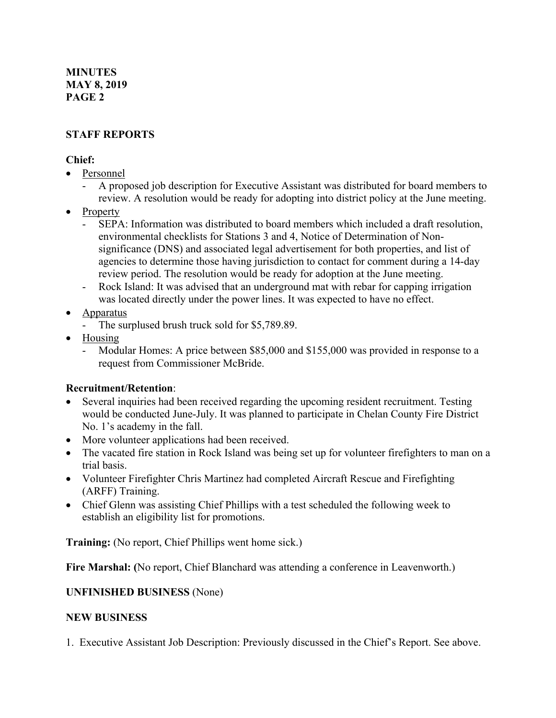#### **MINUTES MAY 8, 2019 PAGE 2**

# **STAFF REPORTS**

#### **Chief:**

- Personnel
	- A proposed job description for Executive Assistant was distributed for board members to review. A resolution would be ready for adopting into district policy at the June meeting.
- Property
	- SEPA: Information was distributed to board members which included a draft resolution, environmental checklists for Stations 3 and 4, Notice of Determination of Nonsignificance (DNS) and associated legal advertisement for both properties, and list of agencies to determine those having jurisdiction to contact for comment during a 14-day review period. The resolution would be ready for adoption at the June meeting.
	- Rock Island: It was advised that an underground mat with rebar for capping irrigation was located directly under the power lines. It was expected to have no effect.

## • **Apparatus**

- The surplused brush truck sold for \$5,789.89.
- Housing
	- Modular Homes: A price between \$85,000 and \$155,000 was provided in response to a request from Commissioner McBride.

#### **Recruitment/Retention**:

- Several inquiries had been received regarding the upcoming resident recruitment. Testing would be conducted June-July. It was planned to participate in Chelan County Fire District No. 1's academy in the fall.
- More volunteer applications had been received.
- The vacated fire station in Rock Island was being set up for volunteer firefighters to man on a trial basis.
- Volunteer Firefighter Chris Martinez had completed Aircraft Rescue and Firefighting (ARFF) Training.
- Chief Glenn was assisting Chief Phillips with a test scheduled the following week to establish an eligibility list for promotions.

**Training:** (No report, Chief Phillips went home sick.)

**Fire Marshal: (**No report, Chief Blanchard was attending a conference in Leavenworth.)

#### **UNFINISHED BUSINESS** (None)

#### **NEW BUSINESS**

1. Executive Assistant Job Description: Previously discussed in the Chief's Report. See above.